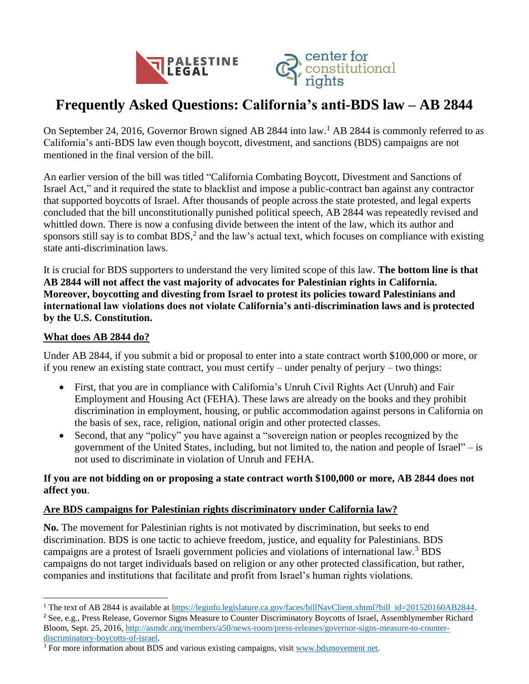



# **Frequently Asked Questions: California's anti-BDS law – AB 2844**

On September 24, 2016, Governor Brown signed AB 2844 into law.<sup>1</sup> AB 2844 is commonly referred to as California's anti-BDS law even though boycott, divestment, and sanctions (BDS) campaigns are not mentioned in the final version of the bill.

An earlier version of the bill was titled "California Combating Boycott, Divestment and Sanctions of Israel Act," and it required the state to blacklist and impose a public-contract ban against any contractor that supported boycotts of Israel. After thousands of people across the state protested, and legal experts concluded that the bill unconstitutionally punished political speech, AB 2844 was repeatedly revised and whittled down. There is now a confusing divide between the intent of the law, which its author and sponsors still say is to combat BDS,<sup>2</sup> and the law's actual text, which focuses on compliance with existing state anti-discrimination laws.

It is crucial for BDS supporters to understand the very limited scope of this law. **The bottom line is that AB 2844 will not affect the vast majority of advocates for Palestinian rights in California. Moreover, boycotting and divesting from Israel to protest its policies toward Palestinians and international law violations does not violate California's anti-discrimination laws and is protected by the U.S. Constitution.**

# **What does AB 2844 do?**

 $\overline{a}$ 

Under AB 2844, if you submit a bid or proposal to enter into a state contract worth \$100,000 or more, or if you renew an existing state contract, you must certify – under penalty of perjury – two things:

- First, that you are in compliance with California's Unruh Civil Rights Act (Unruh) and Fair Employment and Housing Act (FEHA). These laws are already on the books and they prohibit discrimination in employment, housing, or public accommodation against persons in California on the basis of sex, race, religion, national origin and other protected classes.
- Second, that any "policy" you have against a "sovereign nation or peoples recognized by the government of the United States, including, but not limited to, the nation and people of Israel" – is not used to discriminate in violation of Unruh and FEHA.

# **If you are not bidding on or proposing a state contract worth \$100,000 or more, AB 2844 does not affect you**.

# **Are BDS campaigns for Palestinian rights discriminatory under California law?**

**No.** The movement for Palestinian rights is not motivated by discrimination, but seeks to end discrimination. BDS is one tactic to achieve freedom, justice, and equality for Palestinians. BDS campaigns are a protest of Israeli government policies and violations of international law.<sup>3</sup> BDS campaigns do not target individuals based on religion or any other protected classification, but rather, companies and institutions that facilitate and profit from Israel's human rights violations.

<sup>2</sup> See, e.g., Press Release, Governor Signs Measure to Counter Discriminatory Boycotts of Israel, Assemblymember Richard Bloom, Sept. 25, 2016, [http://asmdc.org/members/a50/news-room/press-releases/governor-signs-measure-to-counter](http://asmdc.org/members/a50/news-room/press-releases/governor-signs-measure-to-counter-discriminatory-boycotts-of-israel)[discriminatory-boycotts-of-israel.](http://asmdc.org/members/a50/news-room/press-releases/governor-signs-measure-to-counter-discriminatory-boycotts-of-israel)

<sup>&</sup>lt;sup>1</sup> The text of AB 2844 is available at [https://leginfo.legislature.ca.gov/faces/billNavClient.xhtml?bill id=201520160AB2844.](https://leginfo.legislature.ca.gov/faces/billNavClient.xhtml?bill_id=201520160AB2844)

<sup>&</sup>lt;sup>3</sup> For more information about BDS and various existing campaigns, visit www.bdsmovement net.